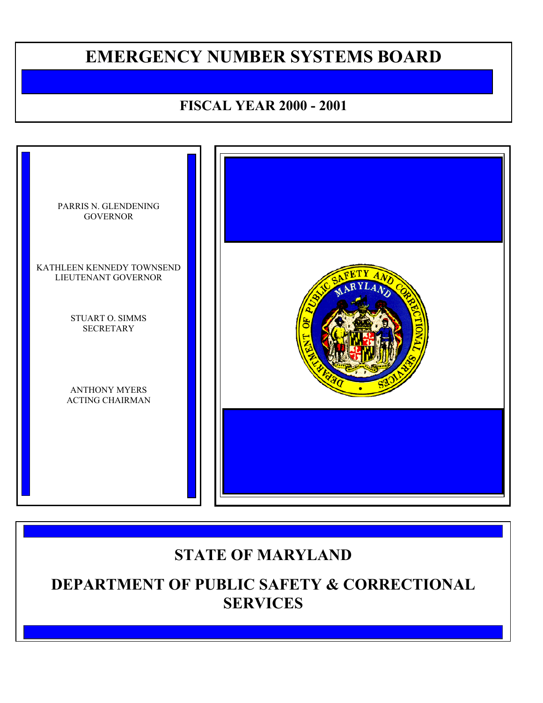# **EMERGENCY NUMBER SYSTEMS BOARD**

# **FISCAL YEAR 2000 - 2001**



# **STATE OF MARYLAND**

**DEPARTMENT OF PUBLIC SAFETY & CORRECTIONAL SERVICES**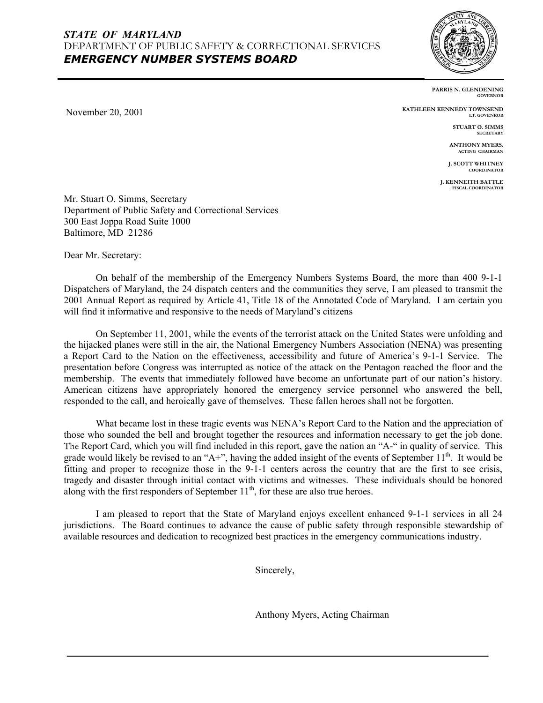

November 20, 2001

**PARRIS N. GLENDENING GOVERNOR**

**KATHLEEN KENNEDY TOWNSEND LT. GOVENROR**

> **STUART O. SIMMS SECRETARY**

**ANTHONY MYERS. ACTING CHAIRMAN**

 **J. SCOTT WHITNEY COORDINATOR** 

**J. KENNEITH BATTLE FISCAL COORDINATOR**

Mr. Stuart O. Simms, Secretary Department of Public Safety and Correctional Services 300 East Joppa Road Suite 1000 Baltimore, MD 21286

Dear Mr. Secretary:

On behalf of the membership of the Emergency Numbers Systems Board, the more than 400 9-1-1 Dispatchers of Maryland, the 24 dispatch centers and the communities they serve, I am pleased to transmit the 2001 Annual Report as required by Article 41, Title 18 of the Annotated Code of Maryland. I am certain you will find it informative and responsive to the needs of Maryland's citizens

On September 11, 2001, while the events of the terrorist attack on the United States were unfolding and the hijacked planes were still in the air, the National Emergency Numbers Association (NENA) was presenting a Report Card to the Nation on the effectiveness, accessibility and future of America's 9-1-1 Service. The presentation before Congress was interrupted as notice of the attack on the Pentagon reached the floor and the membership. The events that immediately followed have become an unfortunate part of our nation's history. American citizens have appropriately honored the emergency service personnel who answered the bell, responded to the call, and heroically gave of themselves. These fallen heroes shall not be forgotten.

What became lost in these tragic events was NENA's Report Card to the Nation and the appreciation of those who sounded the bell and brought together the resources and information necessary to get the job done. The Report Card, which you will find included in this report, gave the nation an "A-" in quality of service. This grade would likely be revised to an "A+", having the added insight of the events of September  $11<sup>th</sup>$ . It would be fitting and proper to recognize those in the 9-1-1 centers across the country that are the first to see crisis, tragedy and disaster through initial contact with victims and witnesses. These individuals should be honored along with the first responders of September  $11<sup>th</sup>$ , for these are also true heroes.

I am pleased to report that the State of Maryland enjoys excellent enhanced 9-1-1 services in all 24 jurisdictions. The Board continues to advance the cause of public safety through responsible stewardship of available resources and dedication to recognized best practices in the emergency communications industry.

Sincerely,

Anthony Myers, Acting Chairman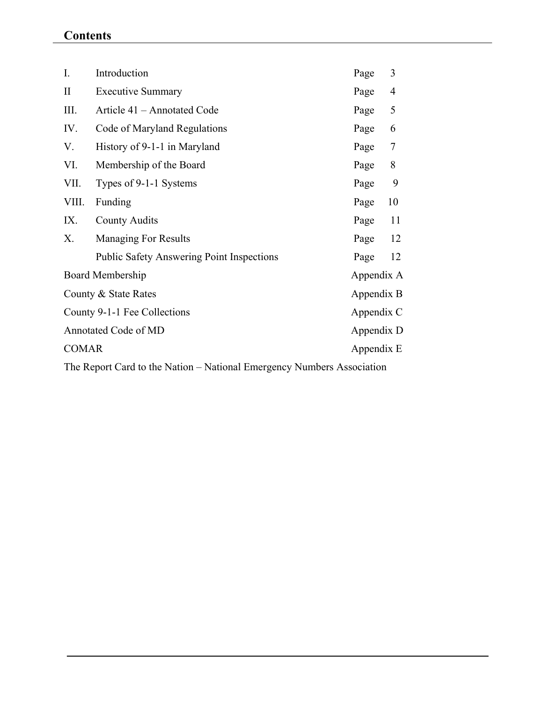# **Contents**

| $I_{\cdot}$                  | Introduction                                     | Page       | 3  |
|------------------------------|--------------------------------------------------|------------|----|
| $\mathbf{I}$                 | <b>Executive Summary</b>                         | Page       | 4  |
| III.                         | Article 41 – Annotated Code                      | Page       | 5  |
| IV.                          | Code of Maryland Regulations                     | Page       | 6  |
| V.                           | History of 9-1-1 in Maryland                     | Page       | 7  |
| VI.                          | Membership of the Board                          | Page       | 8  |
| VII.                         | Types of 9-1-1 Systems                           | Page       | 9  |
| VIII.                        | Funding                                          | Page       | 10 |
| IX.                          | <b>County Audits</b>                             | Page       | 11 |
| X.                           | <b>Managing For Results</b>                      | Page       | 12 |
|                              | <b>Public Safety Answering Point Inspections</b> | Page       | 12 |
| Board Membership             |                                                  | Appendix A |    |
| County & State Rates         |                                                  | Appendix B |    |
| County 9-1-1 Fee Collections |                                                  | Appendix C |    |
| Annotated Code of MD         |                                                  | Appendix D |    |
| <b>COMAR</b>                 |                                                  | Appendix E |    |
|                              |                                                  |            |    |

The Report Card to the Nation – National Emergency Numbers Association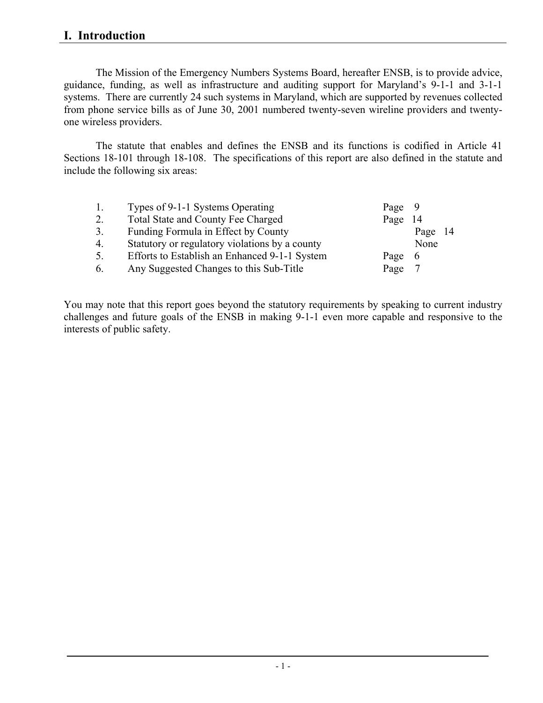## **I. Introduction**

The Mission of the Emergency Numbers Systems Board, hereafter ENSB, is to provide advice, guidance, funding, as well as infrastructure and auditing support for Maryland's 9-1-1 and 3-1-1 systems. There are currently 24 such systems in Maryland, which are supported by revenues collected from phone service bills as of June 30, 2001 numbered twenty-seven wireline providers and twentyone wireless providers.

The statute that enables and defines the ENSB and its functions is codified in Article 41 Sections 18-101 through 18-108. The specifications of this report are also defined in the statute and include the following six areas:

| 1.               | Types of 9-1-1 Systems Operating               | Page 9 |         |  |
|------------------|------------------------------------------------|--------|---------|--|
| 2.               | <b>Total State and County Fee Charged</b>      | Page   | -14     |  |
| 3 <sub>1</sub>   | Funding Formula in Effect by County            |        | Page 14 |  |
| $\overline{4}$ . | Statutory or regulatory violations by a county |        | None    |  |
| 5.               | Efforts to Establish an Enhanced 9-1-1 System  | Page   | -6      |  |
| 6.               | Any Suggested Changes to this Sub-Title        | Page   |         |  |

You may note that this report goes beyond the statutory requirements by speaking to current industry challenges and future goals of the ENSB in making 9-1-1 even more capable and responsive to the interests of public safety.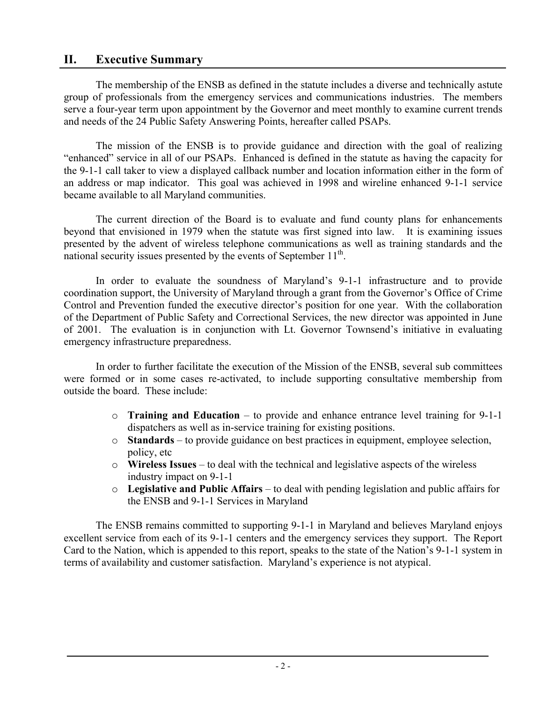## **II. Executive Summary**

The membership of the ENSB as defined in the statute includes a diverse and technically astute group of professionals from the emergency services and communications industries. The members serve a four-year term upon appointment by the Governor and meet monthly to examine current trends and needs of the 24 Public Safety Answering Points, hereafter called PSAPs.

The mission of the ENSB is to provide guidance and direction with the goal of realizing "enhanced" service in all of our PSAPs. Enhanced is defined in the statute as having the capacity for the 9-1-1 call taker to view a displayed callback number and location information either in the form of an address or map indicator. This goal was achieved in 1998 and wireline enhanced 9-1-1 service became available to all Maryland communities.

The current direction of the Board is to evaluate and fund county plans for enhancements beyond that envisioned in 1979 when the statute was first signed into law. It is examining issues presented by the advent of wireless telephone communications as well as training standards and the national security issues presented by the events of September  $11<sup>th</sup>$ .

In order to evaluate the soundness of Maryland's 9-1-1 infrastructure and to provide coordination support, the University of Maryland through a grant from the Governor's Office of Crime Control and Prevention funded the executive director's position for one year. With the collaboration of the Department of Public Safety and Correctional Services, the new director was appointed in June of 2001. The evaluation is in conjunction with Lt. Governor Townsend's initiative in evaluating emergency infrastructure preparedness.

In order to further facilitate the execution of the Mission of the ENSB, several sub committees were formed or in some cases re-activated, to include supporting consultative membership from outside the board. These include:

- o **Training and Education** to provide and enhance entrance level training for 9-1-1 dispatchers as well as in-service training for existing positions.
- o **Standards** to provide guidance on best practices in equipment, employee selection, policy, etc
- o **Wireless Issues**  to deal with the technical and legislative aspects of the wireless industry impact on 9-1-1
- o **Legislative and Public Affairs** to deal with pending legislation and public affairs for the ENSB and 9-1-1 Services in Maryland

The ENSB remains committed to supporting 9-1-1 in Maryland and believes Maryland enjoys excellent service from each of its 9-1-1 centers and the emergency services they support. The Report Card to the Nation, which is appended to this report, speaks to the state of the Nation's 9-1-1 system in terms of availability and customer satisfaction. Maryland's experience is not atypical.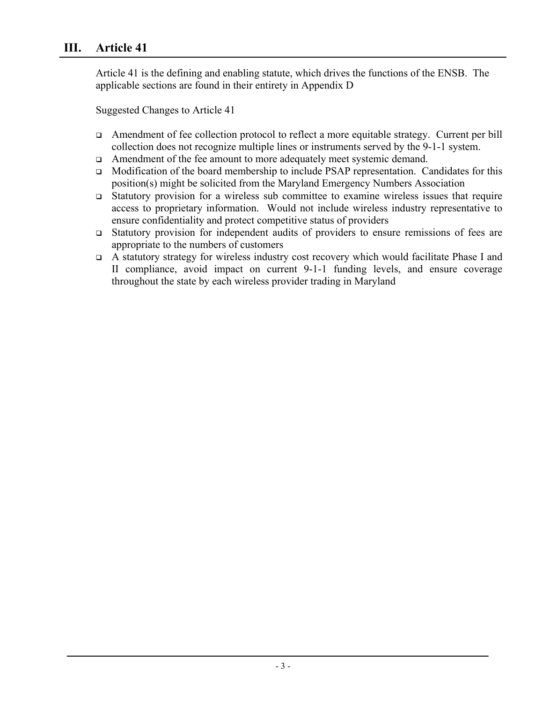## **III. Article 41**

Article 41 is the defining and enabling statute, which drives the functions of the ENSB. The applicable sections are found in their entirety in Appendix D

Suggested Changes to Article 41

- Amendment of fee collection protocol to reflect a more equitable strategy. Current per bill collection does not recognize multiple lines or instruments served by the 9-1-1 system.
- Amendment of the fee amount to more adequately meet systemic demand.
- Modification of the board membership to include PSAP representation. Candidates for this position(s) might be solicited from the Maryland Emergency Numbers Association
- Statutory provision for a wireless sub committee to examine wireless issues that require access to proprietary information. Would not include wireless industry representative to ensure confidentiality and protect competitive status of providers
- Statutory provision for independent audits of providers to ensure remissions of fees are appropriate to the numbers of customers
- A statutory strategy for wireless industry cost recovery which would facilitate Phase I and II compliance, avoid impact on current 9-1-1 funding levels, and ensure coverage throughout the state by each wireless provider trading in Maryland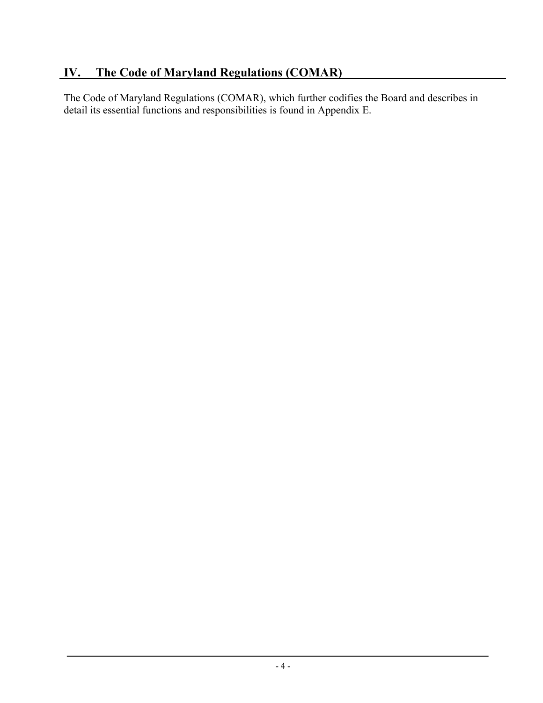The Code of Maryland Regulations (COMAR), which further codifies the Board and describes in detail its essential functions and responsibilities is found in Appendix E.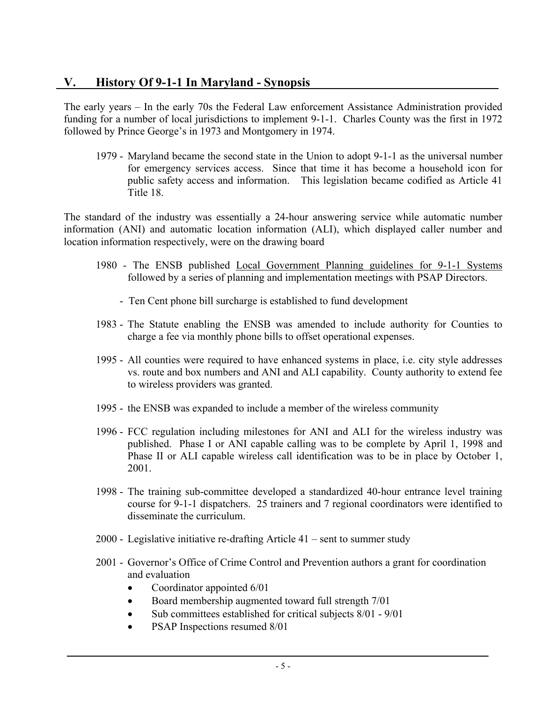## **V. History Of 9-1-1 In Maryland - Synopsis**

The early years – In the early 70s the Federal Law enforcement Assistance Administration provided funding for a number of local jurisdictions to implement 9-1-1. Charles County was the first in 1972 followed by Prince George's in 1973 and Montgomery in 1974.

1979 - Maryland became the second state in the Union to adopt 9-1-1 as the universal number for emergency services access. Since that time it has become a household icon for public safety access and information. This legislation became codified as Article 41 Title 18.

The standard of the industry was essentially a 24-hour answering service while automatic number information (ANI) and automatic location information (ALI), which displayed caller number and location information respectively, were on the drawing board

- 1980 The ENSB published Local Government Planning guidelines for 9-1-1 Systems followed by a series of planning and implementation meetings with PSAP Directors.
	- Ten Cent phone bill surcharge is established to fund development
- 1983 The Statute enabling the ENSB was amended to include authority for Counties to charge a fee via monthly phone bills to offset operational expenses.
- 1995 All counties were required to have enhanced systems in place, i.e. city style addresses vs. route and box numbers and ANI and ALI capability. County authority to extend fee to wireless providers was granted.
- 1995 the ENSB was expanded to include a member of the wireless community
- 1996 FCC regulation including milestones for ANI and ALI for the wireless industry was published. Phase I or ANI capable calling was to be complete by April 1, 1998 and Phase II or ALI capable wireless call identification was to be in place by October 1, 2001.
- 1998 The training sub-committee developed a standardized 40-hour entrance level training course for 9-1-1 dispatchers. 25 trainers and 7 regional coordinators were identified to disseminate the curriculum.
- 2000 Legislative initiative re-drafting Article 41 sent to summer study
- 2001 Governor's Office of Crime Control and Prevention authors a grant for coordination and evaluation
	- Coordinator appointed 6/01
	- Board membership augmented toward full strength  $7/01$
	- Sub committees established for critical subjects 8/01 9/01
	- PSAP Inspections resumed 8/01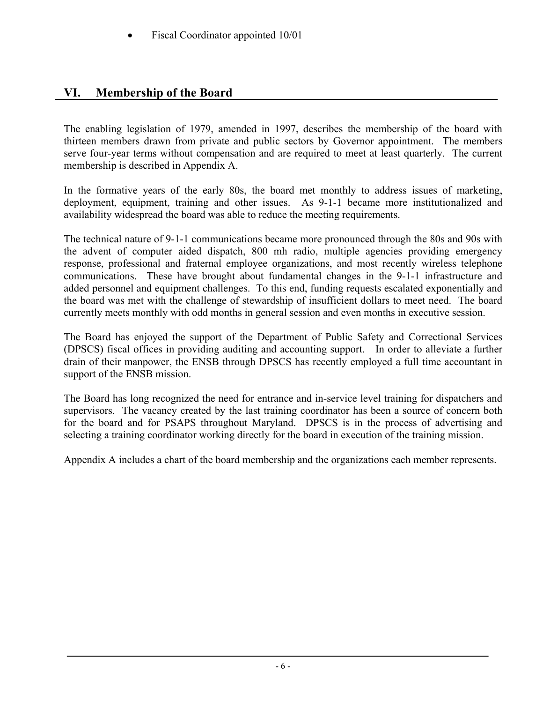• Fiscal Coordinator appointed 10/01

## **VI. Membership of the Board**

The enabling legislation of 1979, amended in 1997, describes the membership of the board with thirteen members drawn from private and public sectors by Governor appointment. The members serve four-year terms without compensation and are required to meet at least quarterly. The current membership is described in Appendix A.

In the formative years of the early 80s, the board met monthly to address issues of marketing, deployment, equipment, training and other issues. As 9-1-1 became more institutionalized and availability widespread the board was able to reduce the meeting requirements.

The technical nature of 9-1-1 communications became more pronounced through the 80s and 90s with the advent of computer aided dispatch, 800 mh radio, multiple agencies providing emergency response, professional and fraternal employee organizations, and most recently wireless telephone communications. These have brought about fundamental changes in the 9-1-1 infrastructure and added personnel and equipment challenges. To this end, funding requests escalated exponentially and the board was met with the challenge of stewardship of insufficient dollars to meet need. The board currently meets monthly with odd months in general session and even months in executive session.

The Board has enjoyed the support of the Department of Public Safety and Correctional Services (DPSCS) fiscal offices in providing auditing and accounting support. In order to alleviate a further drain of their manpower, the ENSB through DPSCS has recently employed a full time accountant in support of the ENSB mission.

The Board has long recognized the need for entrance and in-service level training for dispatchers and supervisors. The vacancy created by the last training coordinator has been a source of concern both for the board and for PSAPS throughout Maryland. DPSCS is in the process of advertising and selecting a training coordinator working directly for the board in execution of the training mission.

Appendix A includes a chart of the board membership and the organizations each member represents.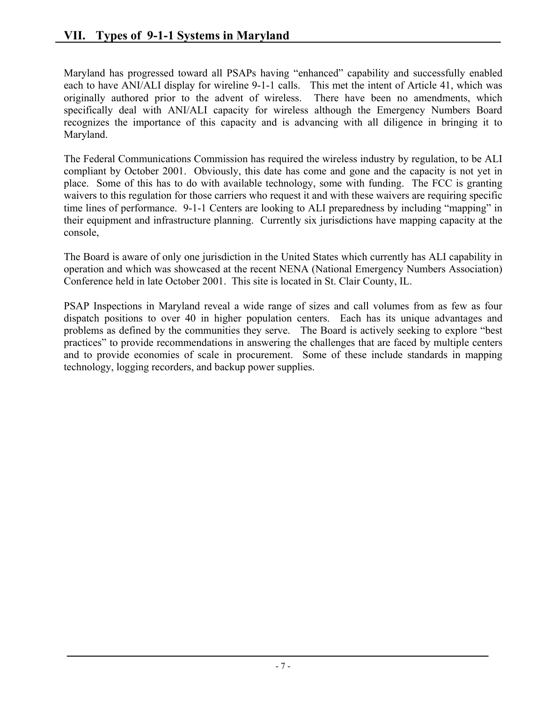Maryland has progressed toward all PSAPs having "enhanced" capability and successfully enabled each to have ANI/ALI display for wireline 9-1-1 calls. This met the intent of Article 41, which was originally authored prior to the advent of wireless. There have been no amendments, which specifically deal with ANI/ALI capacity for wireless although the Emergency Numbers Board recognizes the importance of this capacity and is advancing with all diligence in bringing it to Maryland.

The Federal Communications Commission has required the wireless industry by regulation, to be ALI compliant by October 2001. Obviously, this date has come and gone and the capacity is not yet in place. Some of this has to do with available technology, some with funding. The FCC is granting waivers to this regulation for those carriers who request it and with these waivers are requiring specific time lines of performance. 9-1-1 Centers are looking to ALI preparedness by including "mapping" in their equipment and infrastructure planning. Currently six jurisdictions have mapping capacity at the console,

The Board is aware of only one jurisdiction in the United States which currently has ALI capability in operation and which was showcased at the recent NENA (National Emergency Numbers Association) Conference held in late October 2001. This site is located in St. Clair County, IL.

PSAP Inspections in Maryland reveal a wide range of sizes and call volumes from as few as four dispatch positions to over 40 in higher population centers. Each has its unique advantages and problems as defined by the communities they serve. The Board is actively seeking to explore "best practices" to provide recommendations in answering the challenges that are faced by multiple centers and to provide economies of scale in procurement. Some of these include standards in mapping technology, logging recorders, and backup power supplies.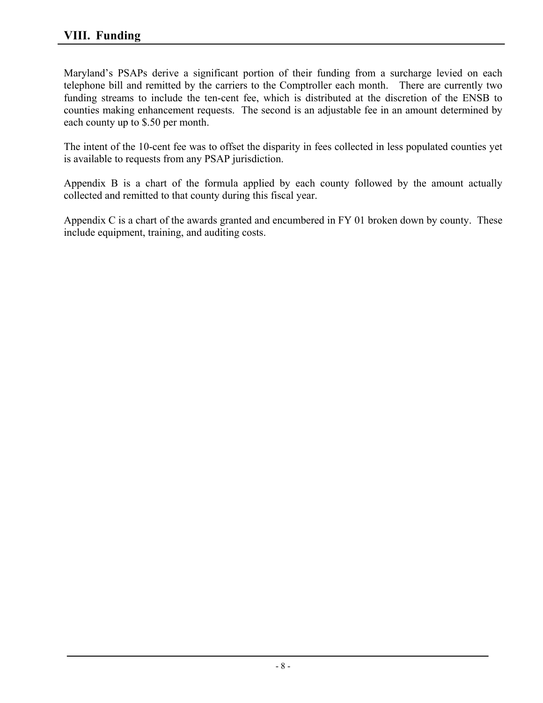Maryland's PSAPs derive a significant portion of their funding from a surcharge levied on each telephone bill and remitted by the carriers to the Comptroller each month. There are currently two funding streams to include the ten-cent fee, which is distributed at the discretion of the ENSB to counties making enhancement requests. The second is an adjustable fee in an amount determined by each county up to \$.50 per month.

The intent of the 10-cent fee was to offset the disparity in fees collected in less populated counties yet is available to requests from any PSAP jurisdiction.

Appendix B is a chart of the formula applied by each county followed by the amount actually collected and remitted to that county during this fiscal year.

Appendix C is a chart of the awards granted and encumbered in FY 01 broken down by county. These include equipment, training, and auditing costs.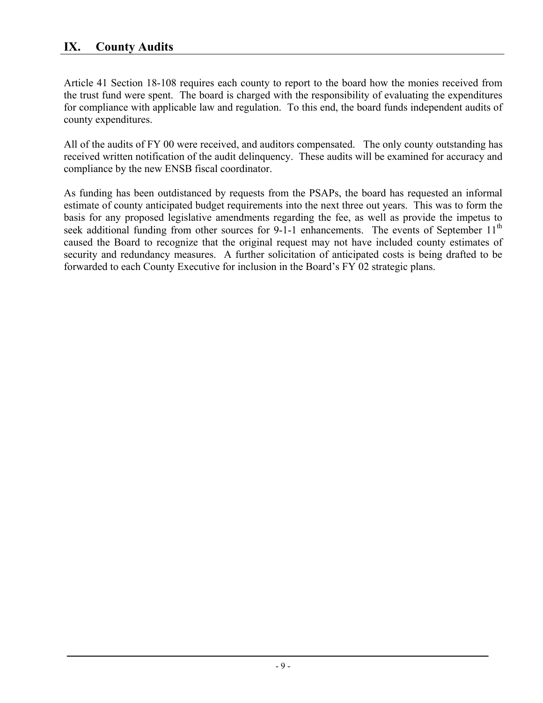Article 41 Section 18-108 requires each county to report to the board how the monies received from the trust fund were spent. The board is charged with the responsibility of evaluating the expenditures for compliance with applicable law and regulation. To this end, the board funds independent audits of county expenditures.

All of the audits of FY 00 were received, and auditors compensated. The only county outstanding has received written notification of the audit delinquency. These audits will be examined for accuracy and compliance by the new ENSB fiscal coordinator.

As funding has been outdistanced by requests from the PSAPs, the board has requested an informal estimate of county anticipated budget requirements into the next three out years. This was to form the basis for any proposed legislative amendments regarding the fee, as well as provide the impetus to seek additional funding from other sources for 9-1-1 enhancements. The events of September 11<sup>th</sup> caused the Board to recognize that the original request may not have included county estimates of security and redundancy measures. A further solicitation of anticipated costs is being drafted to be forwarded to each County Executive for inclusion in the Board's FY 02 strategic plans.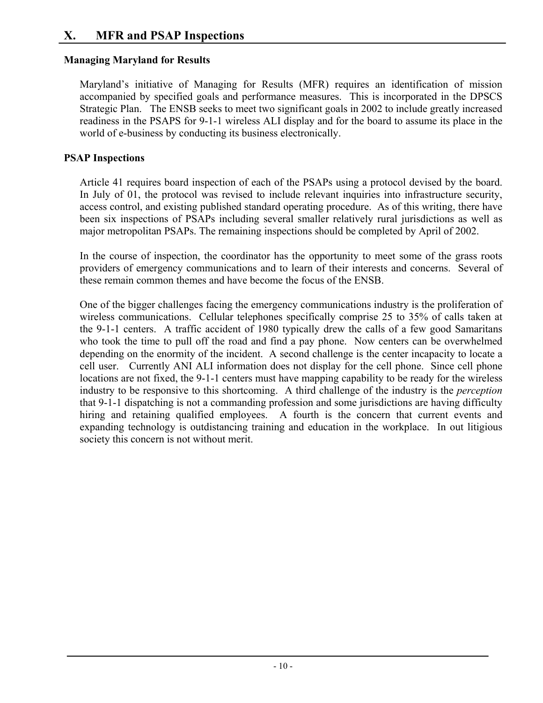## **X. MFR and PSAP Inspections**

## **Managing Maryland for Results**

Maryland's initiative of Managing for Results (MFR) requires an identification of mission accompanied by specified goals and performance measures. This is incorporated in the DPSCS Strategic Plan. The ENSB seeks to meet two significant goals in 2002 to include greatly increased readiness in the PSAPS for 9-1-1 wireless ALI display and for the board to assume its place in the world of e-business by conducting its business electronically.

## **PSAP Inspections**

Article 41 requires board inspection of each of the PSAPs using a protocol devised by the board. In July of 01, the protocol was revised to include relevant inquiries into infrastructure security, access control, and existing published standard operating procedure. As of this writing, there have been six inspections of PSAPs including several smaller relatively rural jurisdictions as well as major metropolitan PSAPs. The remaining inspections should be completed by April of 2002.

In the course of inspection, the coordinator has the opportunity to meet some of the grass roots providers of emergency communications and to learn of their interests and concerns. Several of these remain common themes and have become the focus of the ENSB.

One of the bigger challenges facing the emergency communications industry is the proliferation of wireless communications. Cellular telephones specifically comprise 25 to 35% of calls taken at the 9-1-1 centers. A traffic accident of 1980 typically drew the calls of a few good Samaritans who took the time to pull off the road and find a pay phone. Now centers can be overwhelmed depending on the enormity of the incident. A second challenge is the center incapacity to locate a cell user. Currently ANI ALI information does not display for the cell phone. Since cell phone locations are not fixed, the 9-1-1 centers must have mapping capability to be ready for the wireless industry to be responsive to this shortcoming. A third challenge of the industry is the *perception* that 9-1-1 dispatching is not a commanding profession and some jurisdictions are having difficulty hiring and retaining qualified employees. A fourth is the concern that current events and expanding technology is outdistancing training and education in the workplace. In out litigious society this concern is not without merit.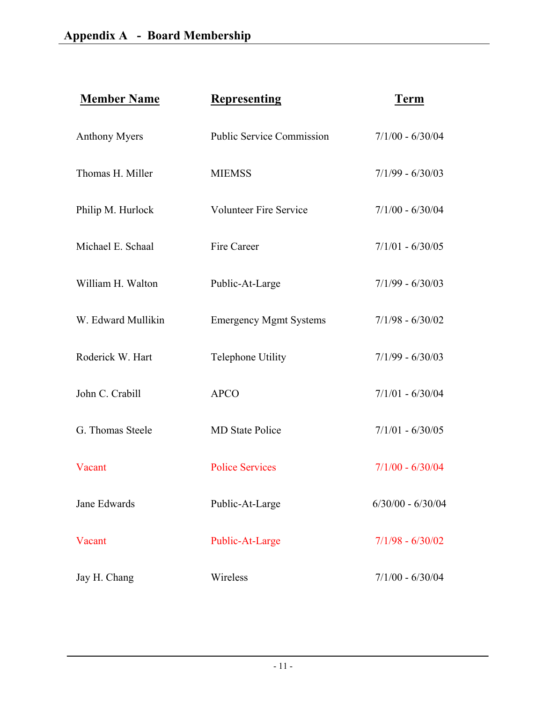| <b>Member Name</b>   | <b>Representing</b>              | <b>Term</b>         |
|----------------------|----------------------------------|---------------------|
| <b>Anthony Myers</b> | <b>Public Service Commission</b> | $7/1/00 - 6/30/04$  |
| Thomas H. Miller     | <b>MIEMSS</b>                    | $7/1/99 - 6/30/03$  |
| Philip M. Hurlock    | <b>Volunteer Fire Service</b>    | $7/1/00 - 6/30/04$  |
| Michael E. Schaal    | Fire Career                      | $7/1/01 - 6/30/05$  |
| William H. Walton    | Public-At-Large                  | $7/1/99 - 6/30/03$  |
| W. Edward Mullikin   | <b>Emergency Mgmt Systems</b>    | $7/1/98 - 6/30/02$  |
| Roderick W. Hart     | <b>Telephone Utility</b>         | $7/1/99 - 6/30/03$  |
| John C. Crabill      | <b>APCO</b>                      | $7/1/01 - 6/30/04$  |
| G. Thomas Steele     | <b>MD</b> State Police           | $7/1/01 - 6/30/05$  |
| Vacant               | <b>Police Services</b>           | $7/1/00 - 6/30/04$  |
| Jane Edwards         | Public-At-Large                  | $6/30/00 - 6/30/04$ |
| Vacant               | Public-At-Large                  | $7/1/98 - 6/30/02$  |
| Jay H. Chang         | Wireless                         | $7/1/00 - 6/30/04$  |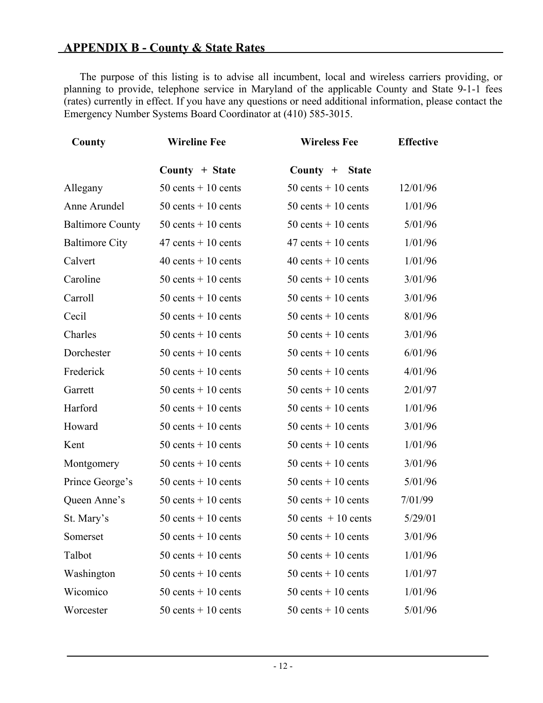The purpose of this listing is to advise all incumbent, local and wireless carriers providing, or planning to provide, telephone service in Maryland of the applicable County and State 9-1-1 fees (rates) currently in effect. If you have any questions or need additional information, please contact the Emergency Number Systems Board Coordinator at (410) 585-3015.

| County                  | <b>Wireline Fee</b>    | <b>Wireless Fee</b>        | <b>Effective</b> |  |
|-------------------------|------------------------|----------------------------|------------------|--|
|                         | County $+$ State       | $County +$<br><b>State</b> |                  |  |
| Allegany                | $50$ cents $+10$ cents | $50$ cents $+10$ cents     | 12/01/96         |  |
| Anne Arundel            | $50$ cents + 10 cents  | $50$ cents + 10 cents      | 1/01/96          |  |
| <b>Baltimore County</b> | $50$ cents + 10 cents  | $50$ cents + 10 cents      | 5/01/96          |  |
| <b>Baltimore City</b>   | $47$ cents + 10 cents  | $47$ cents + 10 cents      | 1/01/96          |  |
| Calvert                 | 40 cents $+10$ cents   | $40$ cents + 10 cents      | 1/01/96          |  |
| Caroline                | $50$ cents $+10$ cents | $50$ cents $+10$ cents     | 3/01/96          |  |
| Carroll                 | $50$ cents + 10 cents  | $50$ cents + 10 cents      | 3/01/96          |  |
| Cecil                   | $50$ cents + 10 cents  | $50$ cents $+10$ cents     | 8/01/96          |  |
| Charles                 | $50$ cents + 10 cents  | $50$ cents + 10 cents      | 3/01/96          |  |
| Dorchester              | $50$ cents + 10 cents  | $50$ cents $+10$ cents     | 6/01/96          |  |
| Frederick               | $50$ cents + 10 cents  | $50$ cents + 10 cents      | 4/01/96          |  |
| Garrett                 | $50$ cents $+10$ cents | $50$ cents $+10$ cents     | 2/01/97          |  |
| Harford                 | $50$ cents + 10 cents  | $50$ cents $+10$ cents     | 1/01/96          |  |
| Howard                  | $50$ cents + 10 cents  | $50$ cents + 10 cents      | 3/01/96          |  |
| Kent                    | $50$ cents $+10$ cents | $50$ cents + 10 cents      | 1/01/96          |  |
| Montgomery              | $50$ cents + 10 cents  | $50$ cents $+10$ cents     | 3/01/96          |  |
| Prince George's         | $50$ cents + 10 cents  | $50$ cents + 10 cents      | 5/01/96          |  |
| Queen Anne's            | $50$ cents $+10$ cents | $50$ cents + 10 cents      | 7/01/99          |  |
| St. Mary's              | $50$ cents + 10 cents  | $50$ cents $+10$ cents     | 5/29/01          |  |
| Somerset                | $50$ cents + 10 cents  | $50$ cents + 10 cents      | 3/01/96          |  |
| Talbot                  | $50$ cents + 10 cents  | $50$ cents $+10$ cents     | 1/01/96          |  |
| Washington              | $50$ cents $+10$ cents | $50$ cents $+10$ cents     | 1/01/97          |  |
| Wicomico                | $50$ cents + 10 cents  | $50$ cents $+10$ cents     | 1/01/96          |  |
| Worcester               | $50$ cents $+10$ cents | $50$ cents $+10$ cents     | 5/01/96          |  |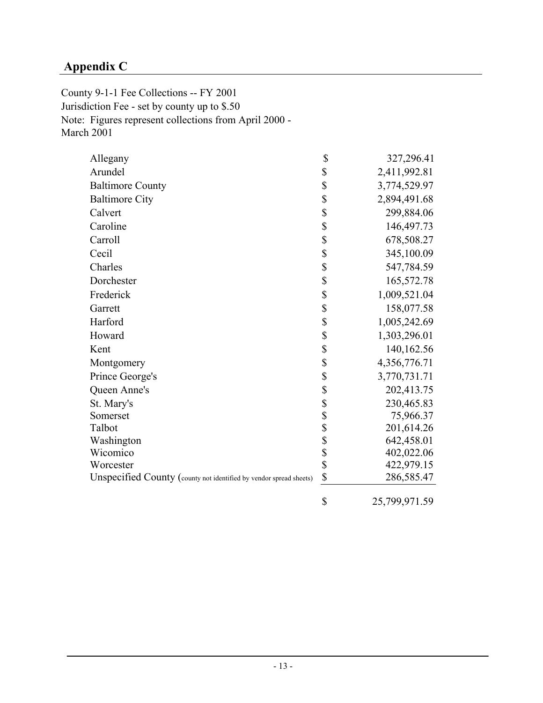# **Appendix C**

County 9-1-1 Fee Collections -- FY 2001 Jurisdiction Fee - set by county up to \$.50 Note: Figures represent collections from April 2000 - March 2001

| Allegany                                                           | \$     | 327,296.41    |
|--------------------------------------------------------------------|--------|---------------|
| Arundel                                                            | \$     | 2,411,992.81  |
| <b>Baltimore County</b>                                            | \$     | 3,774,529.97  |
| <b>Baltimore City</b>                                              | \$     | 2,894,491.68  |
| Calvert                                                            | \$     | 299,884.06    |
| Caroline                                                           | \$     | 146,497.73    |
| Carroll                                                            | \$     | 678,508.27    |
| Cecil                                                              | \$     | 345,100.09    |
| Charles                                                            | \$     | 547,784.59    |
| Dorchester                                                         | \$     | 165,572.78    |
| Frederick                                                          | \$     | 1,009,521.04  |
| Garrett                                                            | \$     | 158,077.58    |
| Harford                                                            | \$     | 1,005,242.69  |
| Howard                                                             | \$     | 1,303,296.01  |
| Kent                                                               | \$     | 140, 162.56   |
| Montgomery                                                         | \$     | 4,356,776.71  |
| Prince George's                                                    | \$     | 3,770,731.71  |
| Queen Anne's                                                       | \$     | 202,413.75    |
| St. Mary's                                                         | \$     | 230,465.83    |
| Somerset                                                           |        | 75,966.37     |
| Talbot                                                             | \$\$\$ | 201,614.26    |
| Washington                                                         |        | 642,458.01    |
| Wicomico                                                           |        | 402,022.06    |
| Worcester                                                          | \$     | 422,979.15    |
| Unspecified County (county not identified by vendor spread sheets) | \$     | 286,585.47    |
|                                                                    | \$     | 25,799,971.59 |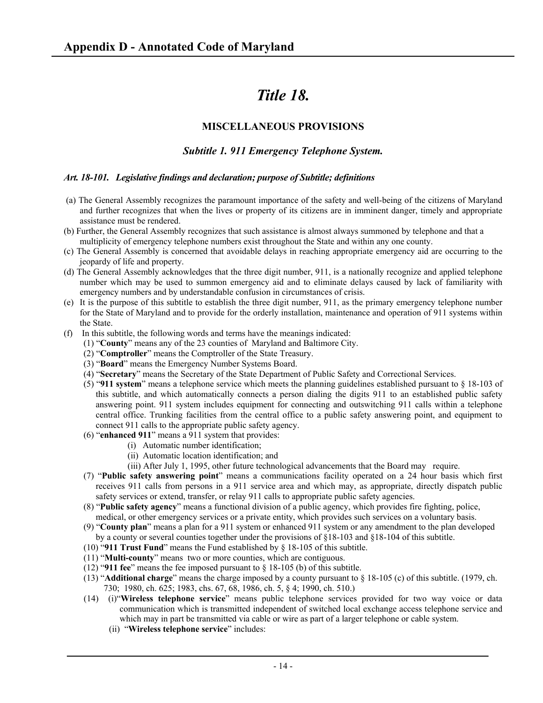# *Title 18.*

## **MISCELLANEOUS PROVISIONS**

## *Subtitle 1. 911 Emergency Telephone System.*

## *Art. 18-101. Legislative findings and declaration; purpose of Subtitle; definitions*

- (a) The General Assembly recognizes the paramount importance of the safety and well-being of the citizens of Maryland and further recognizes that when the lives or property of its citizens are in imminent danger, timely and appropriate assistance must be rendered.
- (b) Further, the General Assembly recognizes that such assistance is almost always summoned by telephone and that a multiplicity of emergency telephone numbers exist throughout the State and within any one county.
- (c) The General Assembly is concerned that avoidable delays in reaching appropriate emergency aid are occurring to the jeopardy of life and property.
- (d) The General Assembly acknowledges that the three digit number, 911, is a nationally recognize and applied telephone number which may be used to summon emergency aid and to eliminate delays caused by lack of familiarity with emergency numbers and by understandable confusion in circumstances of crisis.
- (e) It is the purpose of this subtitle to establish the three digit number, 911, as the primary emergency telephone number for the State of Maryland and to provide for the orderly installation, maintenance and operation of 911 systems within the State.
- (f) In this subtitle, the following words and terms have the meanings indicated:
	- (1) "**County**" means any of the 23 counties of Maryland and Baltimore City.
	- (2) "**Comptroller**" means the Comptroller of the State Treasury.
	- (3) "**Board**" means the Emergency Number Systems Board.
	- (4) "**Secretary**" means the Secretary of the State Department of Public Safety and Correctional Services.
	- (5) "**911 system**" means a telephone service which meets the planning guidelines established pursuant to § 18-103 of this subtitle, and which automatically connects a person dialing the digits 911 to an established public safety answering point. 911 system includes equipment for connecting and outswitching 911 calls within a telephone central office. Trunking facilities from the central office to a public safety answering point, and equipment to connect 911 calls to the appropriate public safety agency.
	- (6) "**enhanced 911**" means a 911 system that provides:
		- (i) Automatic number identification;
		- (ii) Automatic location identification; and
		- (iii) After July 1, 1995, other future technological advancements that the Board may require.
	- (7) "**Public safety answering point**" means a communications facility operated on a 24 hour basis which first receives 911 calls from persons in a 911 service area and which may, as appropriate, directly dispatch public safety services or extend, transfer, or relay 911 calls to appropriate public safety agencies.
	- (8) "**Public safety agency**" means a functional division of a public agency, which provides fire fighting, police, medical, or other emergency services or a private entity, which provides such services on a voluntary basis.
	- (9) "**County plan**" means a plan for a 911 system or enhanced 911 system or any amendment to the plan developed by a county or several counties together under the provisions of §18-103 and §18-104 of this subtitle.
	- (10) "**911 Trust Fund**" means the Fund established by § 18-105 of this subtitle.
	- (11) "**Multi-county**" means two or more counties, which are contiguous.
	- (12) "**911 fee**" means the fee imposed pursuant to § 18-105 (b) of this subtitle.
	- (13) "**Additional charge**" means the charge imposed by a county pursuant to § 18-105 (c) of this subtitle. (1979, ch. 730; 1980, ch. 625; 1983, chs. 67, 68, 1986, ch. 5, § 4; 1990, ch. 510.)
	- (14) (i)"**Wireless telephone service**" means public telephone services provided for two way voice or data communication which is transmitted independent of switched local exchange access telephone service and which may in part be transmitted via cable or wire as part of a larger telephone or cable system.
		- (ii) "**Wireless telephone service**" includes: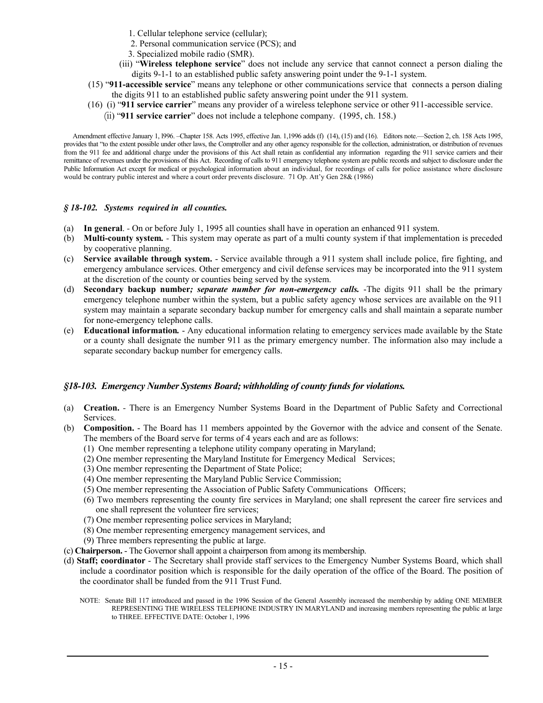- 1. Cellular telephone service (cellular);
- 2. Personal communication service (PCS); and
- 3. Specialized mobile radio (SMR).
- (iii) "**Wireless telephone service**" does not include any service that cannot connect a person dialing the digits 9-1-1 to an established public safety answering point under the 9-1-1 system.
- (15) "**911-accessible service**" means any telephone or other communications service that connects a person dialing the digits 911 to an established public safety answering point under the 911 system.
- (16) (i) "**911 service carrier**" means any provider of a wireless telephone service or other 911-accessible service.
	- (ii) "**911 service carrier**" does not include a telephone company. (1995, ch. 158.)

 Amendment effective January 1, l996. –Chapter 158. Acts 1995, effective Jan. 1,1996 adds (f) (14), (15) and (16). Editors note.—Section 2, ch. 158 Acts 1995, provides that "to the extent possible under other laws, the Comptroller and any other agency responsible for the collection, administration, or distribution of revenues from the 911 fee and additional charge under the provisions of this Act shall retain as confidential any information regarding the 911 service carriers and their remittance of revenues under the provisions of this Act. Recording of calls to 911 emergency telephone system are public records and subject to disclosure under the Public Information Act except for medical or psychological information about an individual, for recordings of calls for police assistance where disclosure would be contrary public interest and where a court order prevents disclosure. 71 Op. Att'y Gen 28& (1986)

#### *§ 18-102. Systems required in all counties.*

- (a) **In general**.On or before July 1, 1995 all counties shall have in operation an enhanced 911 system.
- (b) **Multi-county system***.* This system may operate as part of a multi county system if that implementation is preceded by cooperative planning.
- (c) **Service available through system.** Service available through a 911 system shall include police, fire fighting, and emergency ambulance services. Other emergency and civil defense services may be incorporated into the 911 system at the discretion of the county or counties being served by the system.
- (d) **Secondary backup number***; separate number for non-emergency calls.* -The digits 911 shall be the primary emergency telephone number within the system, but a public safety agency whose services are available on the 911 system may maintain a separate secondary backup number for emergency calls and shall maintain a separate number for none-emergency telephone calls.
- (e) **Educational information***.* Any educational information relating to emergency services made available by the State or a county shall designate the number 911 as the primary emergency number. The information also may include a separate secondary backup number for emergency calls.

#### *§18-103. Emergency Number Systems Board; withholding of county funds for violations.*

- (a) **Creation.**There is an Emergency Number Systems Board in the Department of Public Safety and Correctional Services.
- (b) **Composition.** The Board has 11 members appointed by the Governor with the advice and consent of the Senate. The members of the Board serve for terms of 4 years each and are as follows:
	- (1) One member representing a telephone utility company operating in Maryland;
	- (2) One member representing the Maryland Institute for Emergency Medical Services;
	- (3) One member representing the Department of State Police;
	- (4) One member representing the Maryland Public Service Commission;
	- (5) One member representing the Association of Public Safety Communications Officers;
	- (6) Two members representing the county fire services in Maryland; one shall represent the career fire services and one shall represent the volunteer fire services;
	- (7) One member representing police services in Maryland;
	- (8) One member representing emergency management services, and
	- (9) Three members representing the public at large.
- (c) **Chairperson.** The Governor shall appoint a chairperson from among its membership.
- (d) **Staff; coordinator** The Secretary shall provide staff services to the Emergency Number Systems Board, which shall include a coordinator position which is responsible for the daily operation of the office of the Board. The position of the coordinator shall be funded from the 911 Trust Fund.
	- NOTE: Senate Bill 117 introduced and passed in the 1996 Session of the General Assembly increased the membership by adding ONE MEMBER REPRESENTING THE WIRELESS TELEPHONE INDUSTRY IN MARYLAND and increasing members representing the public at large to THREE. EFFECTIVE DATE: October 1, 1996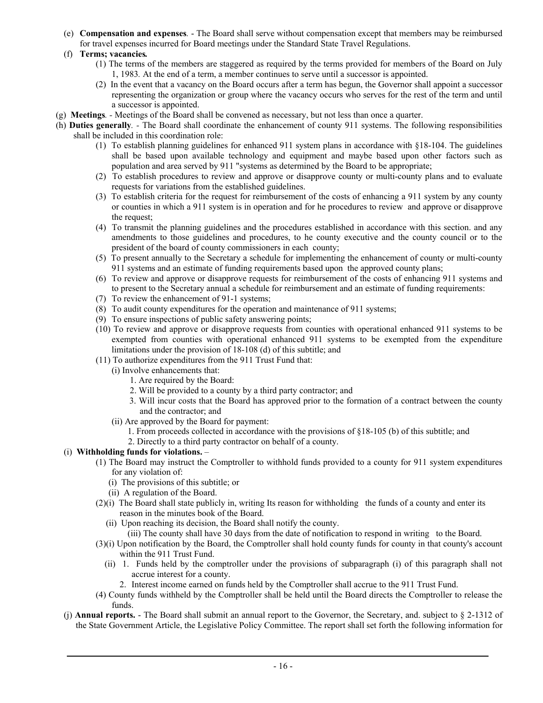(e) **Compensation and expenses***.* - The Board shall serve without compensation except that members may be reimbursed for travel expenses incurred for Board meetings under the Standard State Travel Regulations.

#### (f) **Terms; vacancies***.*

- (1) The terms of the members are staggered as required by the terms provided for members of the Board on July 1, 1983*.* At the end of a term, a member continues to serve until a successor is appointed.
- (2) In the event that a vacancy on the Board occurs after a term has begun, the Governor shall appoint a successor representing the organization or group where the vacancy occurs who serves for the rest of the term and until a successor is appointed.
- (g) **Meetings***.* Meetings of the Board shall be convened as necessary, but not less than once a quarter.
- (h) **Duties generally***.* The Board shall coordinate the enhancement of county 911 systems. The following responsibilities shall be included in this coordination role:
	- (1)To establish planning guidelines for enhanced 911 system plans in accordance with §18-104. The guidelines shall be based upon available technology and equipment and maybe based upon other factors such as population and area served by 911 "systems as determined by the Board to be appropriate;
	- (2) To establish procedures to review and approve or disapprove county or multi-county plans and to evaluate requests for variations from the established guidelines.
	- (3) To establish criteria for the request for reimbursement of the costs of enhancing a 911 system by any county or counties in which a 911 system is in operation and for he procedures to review and approve or disapprove the request;
	- (4) To transmit the planning guidelines and the procedures established in accordance with this section. and any amendments to those guidelines and procedures, to he county executive and the county council or to the president of the board of county commissioners in each county;
	- (5) To present annually to the Secretary a schedule for implementing the enhancement of county or multi-county 911 systems and an estimate of funding requirements based upon the approved county plans;
	- (6) To review and approve or disapprove requests for reimbursement of the costs of enhancing 911 systems and to present to the Secretary annual a schedule for reimbursement and an estimate of funding requirements:
	- (7) To review the enhancement of 91-1 systems;
	- (8) To audit county expenditures for the operation and maintenance of 911 systems;
	- (9) To ensure inspections of public safety answering points;
	- (10) To review and approve or disapprove requests from counties with operational enhanced 911 systems to be exempted from counties with operational enhanced 911 systems to be exempted from the expenditure limitations under the provision of 18-108 (d) of this subtitle; and
	- (11) To authorize expenditures from the 911 Trust Fund that:
		- (i) Involve enhancements that:
			- 1. Are required by the Board:
			- 2. Will be provided to a county by a third party contractor; and
			- 3. Will incur costs that the Board has approved prior to the formation of a contract between the county and the contractor; and
		- (ii) Are approved by the Board for payment:
			- 1. From proceeds collected in accordance with the provisions of §18-105 (b) of this subtitle; and
			- 2. Directly to a third party contractor on behalf of a county.

## (i) **Withholding funds for violations.** –

- (1) The Board may instruct the Comptroller to withhold funds provided to a county for 911 system expenditures for any violation of:
	- (i) The provisions of this subtitle; or
	- (ii) A regulation of the Board.
- (2)(i) The Board shall state publicly in, writing Its reason for withholding the funds of a county and enter its reason in the minutes book of the Board.
	- (ii) Upon reaching its decision, the Board shall notify the county.
		- (iii) The county shall have 30 days from the date of notification to respond in writing to the Board.
- (3)(i) Upon notification by the Board, the Comptroller shall hold county funds for county in that county's account within the 911 Trust Fund.
	- (ii) 1. Funds held by the comptroller under the provisions of subparagraph (i) of this paragraph shall not accrue interest for a county.
		- 2. Interest income earned on funds held by the Comptroller shall accrue to the 911 Trust Fund.
- (4) County funds withheld by the Comptroller shall be held until the Board directs the Comptroller to release the funds.
- (j) **Annual reports.** The Board shall submit an annual report to the Governor, the Secretary, and. subject to § 2-1312 of the State Government Article, the Legislative Policy Committee. The report shall set forth the following information for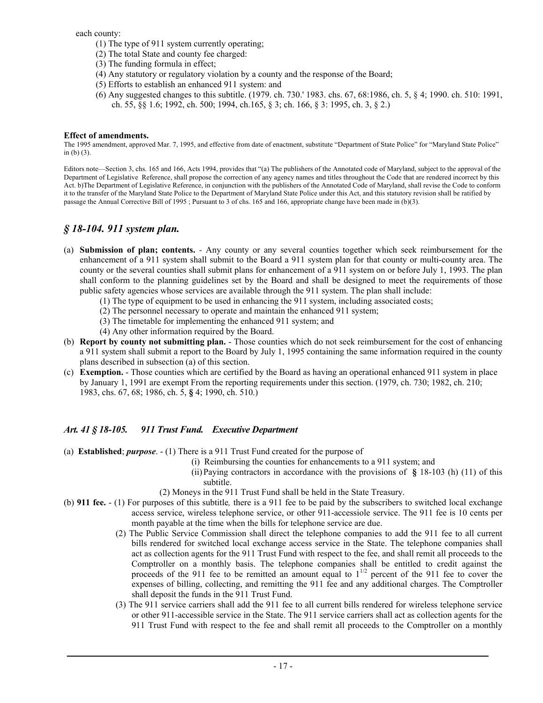each county:

- (1) The type of 911 system currently operating;
- (2) The total State and county fee charged:
- (3) The funding formula in effect;
- (4) Any statutory or regulatory violation by a county and the response of the Board;
- (5) Efforts to establish an enhanced 911 system: and
- (6) Any suggested changes to this subtitle. (1979. ch. 730.' 1983. chs. 67, 68:1986, ch. 5, § 4; 1990. ch. 510: 1991, ch. 55, §§ 1.6; 1992, ch. 500; 1994, ch.165, § 3; ch. 166, § 3: 1995, ch. 3, § 2.)

#### **Effect of amendments.**

The 1995 amendment, approved Mar. 7, 1995, and effective from date of enactment, substitute "Department of State Police" for "Maryland State Police" in (b) (3).

Editors note—Section 3, chs. 165 and 166, Acts 1994, provides that "(a) The publishers of the Annotated code of Maryland, subject to the approval of the Department of Legislative Reference, shall propose the correction of any agency names and titles throughout the Code that are rendered incorrect by this Act. b)The Department of Legislative Reference, in conjunction with the publishers of the Annotated Code of Maryland, shall revise the Code to conform it to the transfer of the Maryland State Police to the Department of Maryland State Police under this Act, and this statutory revision shall be ratified by passage the Annual Corrective Bill of 1995 ; Pursuant to 3 of chs. 165 and 166, appropriate change have been made in (b)(3).

## *§ 18-104. 911 system plan.*

- (a) **Submission of plan; contents.**Any county or any several counties together which seek reimbursement for the enhancement of a 911 system shall submit to the Board a 911 system plan for that county or multi-county area. The county or the several counties shall submit plans for enhancement of a 911 system on or before July 1, 1993. The plan shall conform to the planning guidelines set by the Board and shall be designed to meet the requirements of those public safety agencies whose services are available through the 911 system. The plan shall include:
	- (1) The type of equipment to be used in enhancing the 911 system, including associated costs;
	- (2) The personnel necessary to operate and maintain the enhanced 911 system;
	- (3) The timetable for implementing the enhanced 911 system; and
	- (4) Any other information required by the Board.
- (b) **Report by county not submitting plan.** Those counties which do not seek reimbursement for the cost of enhancing a 911 system shall submit a report to the Board by July 1, 1995 containing the same information required in the county plans described in subsection (a) of this section.
- (c) **Exemption.** Those counties which are certified by the Board as having an operational enhanced 911 system in place by January 1, 1991 are exempt From the reporting requirements under this section. (1979, ch. 730; 1982, ch. 210; 1983, chs. 67, 68; 1986, ch. 5, **§** 4; 1990, ch. 510.)

## *Art. 41 § 18-105. 911 Trust Fund. Executive Department*

- (a) **Established**; *purpose*. (1) There is a 911 Trust Fund created for the purpose of
	- (i) Reimbursing the counties for enhancements to a 911 system; and
	- (ii) Paying contractors in accordance with the provisions of **§** 18-103 (h) (11) of this subtitle.
	- (2) Moneys in the 911 Trust Fund shall be held in the State Treasury.
- (b) **911 fee.**  (1) For purposes of this subtitle*,* there is a 911 fee to be paid by the subscribers to switched local exchange access service, wireless telephone service, or other 911-accessiole service. The 911 fee is 10 cents per month payable at the time when the bills for telephone service are due.
	- (2) The Public Service Commission shall direct the telephone companies to add the 911 fee to all current bills rendered for switched local exchange access service in the State. The telephone companies shall act as collection agents for the 911 Trust Fund with respect to the fee, and shall remit all proceeds to the Comptroller on a monthly basis. The telephone companies shall be entitled to credit against the proceeds of the 911 fee to be remitted an amount equal to  $1^{1/2}$  percent of the 911 fee to cover the expenses of billing, collecting, and remitting the 911 fee and any additional charges. The Comptroller shall deposit the funds in the 911 Trust Fund.
	- (3) The 911 service carriers shall add the 911 fee to all current bills rendered for wireless telephone service or other 911-accessible service in the State. The 911 service carriers shall act as collection agents for the 911 Trust Fund with respect to the fee and shall remit all proceeds to the Comptroller on a monthly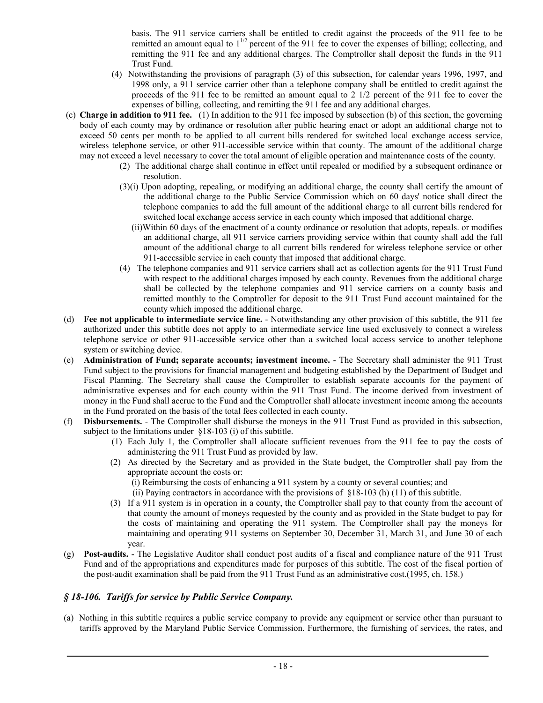basis. The 911 service carriers shall be entitled to credit against the proceeds of the 911 fee to be remitted an amount equal to  $1^{1/2}$  percent of the 911 fee to cover the expenses of billing; collecting, and remitting the 911 fee and any additional charges. The Comptroller shall deposit the funds in the 911 Trust Fund.

- (4) Notwithstanding the provisions of paragraph (3) of this subsection, for calendar years 1996, 1997, and 1998 only, a 911 service carrier other than a telephone company shall be entitled to credit against the proceeds of the 911 fee to be remitted an amount equal to 2 1/2 percent of the 911 fee to cover the expenses of billing, collecting, and remitting the 911 fee and any additional charges.
- (c) **Charge in addition to 911 fee.** (1) In addition to the 911 fee imposed by subsection (b) of this section, the governing body of each county may by ordinance or resolution after public hearing enact or adopt an additional charge not to exceed 50 cents per month to be applied to all current bills rendered for switched local exchange access service, wireless telephone service, or other 911-accessible service within that county. The amount of the additional charge may not exceed a level necessary to cover the total amount of eligible operation and maintenance costs of the county.
	- (2) The additional charge shall continue in effect until repealed or modified by a subsequent ordinance or resolution.
	- (3)(i) Upon adopting, repealing, or modifying an additional charge, the county shall certify the amount of the additional charge to the Public Service Commission which on 60 days' notice shall direct the telephone companies to add the full amount of the additional charge to all current bills rendered for switched local exchange access service in each county which imposed that additional charge.
		- (ii)Within 60 days of the enactment of a county ordinance or resolution that adopts, repeals. or modifies an additional charge, all 911 service carriers providing service within that county shall add the full amount of the additional charge to all current bills rendered for wireless telephone service or other 911-accessible service in each county that imposed that additional charge.
	- (4) The telephone companies and 911 service carriers shall act as collection agents for the 911 Trust Fund with respect to the additional charges imposed by each county. Revenues from the additional charge shall be collected by the telephone companies and 911 service carriers on a county basis and remitted monthly to the Comptroller for deposit to the 911 Trust Fund account maintained for the county which imposed the additional charge.
- (d) **Fee not applicable to intermediate service line.** Notwithstanding any other provision of this subtitle, the 911 fee authorized under this subtitle does not apply to an intermediate service line used exclusively to connect a wireless telephone service or other 911-accessible service other than a switched local access service to another telephone system or switching device.
- (e) **Administration of Fund; separate accounts; investment income.** The Secretary shall administer the 911 Trust Fund subject to the provisions for financial management and budgeting established by the Department of Budget and Fiscal Planning. The Secretary shall cause the Comptroller to establish separate accounts for the payment of administrative expenses and for each county within the 911 Trust Fund. The income derived from investment of money in the Fund shall accrue to the Fund and the Comptroller shall allocate investment income among the accounts in the Fund prorated on the basis of the total fees collected in each county.
- (f) **Disbursements.** The Comptroller shall disburse the moneys in the 911 Trust Fund as provided in this subsection, subject to the limitations under §18-103 (i) of this subtitle.
	- (1) Each July 1, the Comptroller shall allocate sufficient revenues from the 911 fee to pay the costs of administering the 911 Trust Fund as provided by law.
	- (2) As directed by the Secretary and as provided in the State budget, the Comptroller shall pay from the appropriate account the costs or:
		- (i) Reimbursing the costs of enhancing a 911 system by a county or several counties; and
		- (ii) Paying contractors in accordance with the provisions of  $\S 18-103$  (h) (11) of this subtitle.
	- (3) If a 911 system is in operation in a county, the Comptroller shall pay to that county from the account of that county the amount of moneys requested by the county and as provided in the State budget to pay for the costs of maintaining and operating the 911 system. The Comptroller shall pay the moneys for maintaining and operating 911 systems on September 30, December 31, March 31, and June 30 of each year.
- (g) **Post-audits.** The Legislative Auditor shall conduct post audits of a fiscal and compliance nature of the 911 Trust Fund and of the appropriations and expenditures made for purposes of this subtitle. The cost of the fiscal portion of the post-audit examination shall be paid from the 911 Trust Fund as an administrative cost.(1995, ch. 158.)

## *§ 18-106. Tariffs for service by Public Service Company.*

(a) Nothing in this subtitle requires a public service company to provide any equipment or service other than pursuant to tariffs approved by the Maryland Public Service Commission. Furthermore, the furnishing of services, the rates, and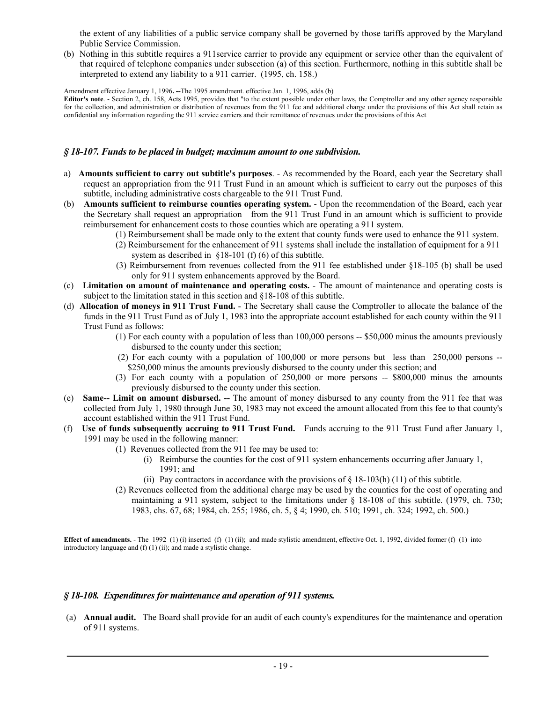the extent of any liabilities of a public service company shall be governed by those tariffs approved by the Maryland Public Service Commission.

(b) Nothing in this subtitle requires a 911service carrier to provide any equipment or service other than the equivalent of that required of telephone companies under subsection (a) of this section. Furthermore, nothing in this subtitle shall be interpreted to extend any liability to a 911 carrier. (1995, ch. 158.)

Amendment effective January 1, 1996**. --**The 1995 amendment. effective Jan. 1, 1996, adds (b)

**Editor's note**. - Section 2, ch. 158, Acts 1995, provides that "to the extent possible under other laws, the Comptroller and any other agency responsible for the collection, and administration or distribution of revenues from the 911 fee and additional charge under the provisions of this Act shall retain as confidential any information regarding the 911 service carriers and their remittance of revenues under the provisions of this Act

#### *§ 18-107. Funds to be placed in budget; maximum amount to one subdivision.*

- a) **Amounts sufficient to carry out subtitle's purposes**. As recommended by the Board, each year the Secretary shall request an appropriation from the 911 Trust Fund in an amount which is sufficient to carry out the purposes of this subtitle, including administrative costs chargeable to the 911 Trust Fund.
- (b) **Amounts sufficient to reimburse counties operating system.** Upon the recommendation of the Board, each year the Secretary shall request an appropriation from the 911 Trust Fund in an amount which is sufficient to provide reimbursement for enhancement costs to those counties which are operating a 911 system.
	- (1) Reimbursement shall be made only to the extent that county funds were used to enhance the 911 system.
	- (2) Reimbursement for the enhancement of 911 systems shall include the installation of equipment for a 911 system as described in §18-101 (f) (6) of this subtitle.
	- (3) Reimbursement from revenues collected from the 911 fee established under §18-105 (b) shall be used only for 911 system enhancements approved by the Board.
- (c) **Limitation on amount of maintenance and operating costs.** The amount of maintenance and operating costs is subject to the limitation stated in this section and §18-108 of this subtitle.
- (d) **Allocation of moneys in 911 Trust Fund.** The Secretary shall cause the Comptroller to allocate the balance of the funds in the 911 Trust Fund as of July 1, 1983 into the appropriate account established for each county within the 911 Trust Fund as follows:
	- (1) For each county with a population of less than 100,000 persons -- \$50,000 minus the amounts previously disbursed to the county under this section;
	- (2) For each county with a population of 100,000 or more persons but less than 250,000 persons -- \$250,000 minus the amounts previously disbursed to the county under this section; and
	- (3) For each county with a population of 250,000 or more persons -- \$800,000 minus the amounts previously disbursed to the county under this section.
- (e) **Same-- Limit on amount disbursed. --** The amount of money disbursed to any county from the 911 fee that was collected from July 1, 1980 through June 30, 1983 may not exceed the amount allocated from this fee to that county's account established within the 911 Trust Fund.
- (f) **Use of funds subsequently accruing to 911 Trust Fund.**Funds accruing to the 911 Trust Fund after January 1, 1991 may be used in the following manner:
	- (1) Revenues collected from the 911 fee may be used to:
		- (i) Reimburse the counties for the cost of 911 system enhancements occurring after January 1, 1991; and
		- (ii) Pay contractors in accordance with the provisions of  $\S$  18-103(h) (11) of this subtitle.
	- (2) Revenues collected from the additional charge may be used by the counties for the cost of operating and maintaining a 911 system, subject to the limitations under § 18-108 of this subtitle. (1979, ch. 730; 1983, chs. 67, 68; 1984, ch. 255; 1986, ch. 5, § 4; 1990, ch. 510; 1991, ch. 324; 1992, ch. 500.)

**Effect of amendments.** - The 1992 (1) (i) inserted (f) (1) (ii); and made stylistic amendment, effective Oct. 1, 1992, divided former (f) (1) into introductory language and (f) (1) (ii); and made a stylistic change.

#### *§ 18-108. Expenditures for maintenance and operation of 911 systems.*

 (a) **Annual audit.**The Board shall provide for an audit of each county's expenditures for the maintenance and operation of 911 systems.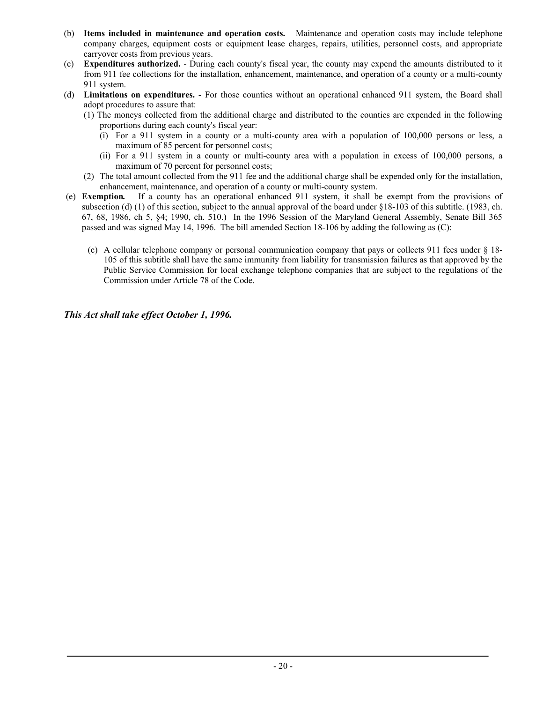- (b) **Items included in maintenance and operation costs.** Maintenance and operation costs may include telephone company charges, equipment costs or equipment lease charges, repairs, utilities, personnel costs, and appropriate carryover costs from previous years.
- (c) **Expenditures authorized.**During each county's fiscal year, the county may expend the amounts distributed to it from 911 fee collections for the installation, enhancement, maintenance, and operation of a county or a multi-county 911 system.
- (d) **Limitations on expenditures.** For those counties without an operational enhanced 911 system, the Board shall adopt procedures to assure that:
	- (1) The moneys collected from the additional charge and distributed to the counties are expended in the following proportions during each county's fiscal year:
		- (i) For a 911 system in a county or a multi-county area with a population of 100,000 persons or less, a maximum of 85 percent for personnel costs;
		- (ii) For a 911 system in a county or multi-county area with a population in excess of 100,000 persons, a maximum of 70 percent for personnel costs;
	- (2) The total amount collected from the 911 fee and the additional charge shall be expended only for the installation, enhancement, maintenance, and operation of a county or multi-county system.
- (e) **Exemption***.* If a county has an operational enhanced 911 system, it shall be exempt from the provisions of subsection (d) (1) of this section, subject to the annual approval of the board under  $§18-103$  of this subtitle. (1983, ch. 67, 68, 1986, ch 5, §4; 1990, ch. 510.) In the 1996 Session of the Maryland General Assembly, Senate Bill 365 passed and was signed May 14, 1996. The bill amended Section 18-106 by adding the following as (C):
	- (c) A cellular telephone company or personal communication company that pays or collects 911 fees under § 18- 105 of this subtitle shall have the same immunity from liability for transmission failures as that approved by the Public Service Commission for local exchange telephone companies that are subject to the regulations of the Commission under Article 78 of the Code.

*This Act shall take effect October 1, 1996.*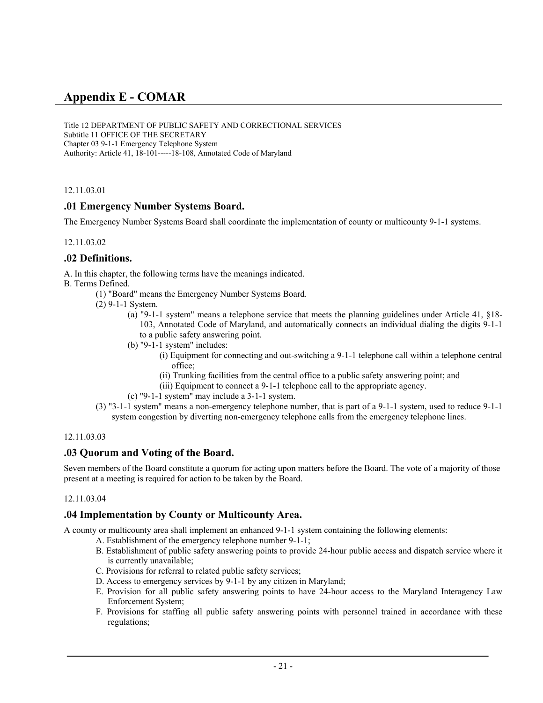# **Appendix E - COMAR**

Title 12 DEPARTMENT OF PUBLIC SAFETY AND CORRECTIONAL SERVICES Subtitle 11 OFFICE OF THE SECRETARY Chapter 03 9-1-1 Emergency Telephone System Authority: Article 41, 18-101-----18-108, Annotated Code of Maryland

12.11.03.01

## **.01 Emergency Number Systems Board.**

The Emergency Number Systems Board shall coordinate the implementation of county or multicounty 9-1-1 systems.

12.11.03.02

## **.02 Definitions.**

A. In this chapter, the following terms have the meanings indicated.

B. Terms Defined.

- (1) "Board" means the Emergency Number Systems Board.
- (2) 9-1-1 System.
	- (a) "9-1-1 system" means a telephone service that meets the planning guidelines under Article 41, §18- 103, Annotated Code of Maryland, and automatically connects an individual dialing the digits 9-1-1 to a public safety answering point.
	- (b) "9-1-1 system" includes:
		- (i) Equipment for connecting and out-switching a 9-1-1 telephone call within a telephone central office;
		- (ii) Trunking facilities from the central office to a public safety answering point; and
		- (iii) Equipment to connect a 9-1-1 telephone call to the appropriate agency.
	- (c) "9-1-1 system" may include a 3-1-1 system.
- (3) "3-1-1 system" means a non-emergency telephone number, that is part of a 9-1-1 system, used to reduce 9-1-1 system congestion by diverting non-emergency telephone calls from the emergency telephone lines.

#### 12.11.03.03

## **.03 Quorum and Voting of the Board.**

Seven members of the Board constitute a quorum for acting upon matters before the Board. The vote of a majority of those present at a meeting is required for action to be taken by the Board.

#### 12.11.03.04

## **.04 Implementation by County or Multicounty Area.**

A county or multicounty area shall implement an enhanced 9-1-1 system containing the following elements:

- A. Establishment of the emergency telephone number 9-1-1;
- B. Establishment of public safety answering points to provide 24-hour public access and dispatch service where it is currently unavailable;
- C. Provisions for referral to related public safety services;
- D. Access to emergency services by 9-1-1 by any citizen in Maryland;
- E. Provision for all public safety answering points to have 24-hour access to the Maryland Interagency Law Enforcement System;
- F. Provisions for staffing all public safety answering points with personnel trained in accordance with these regulations;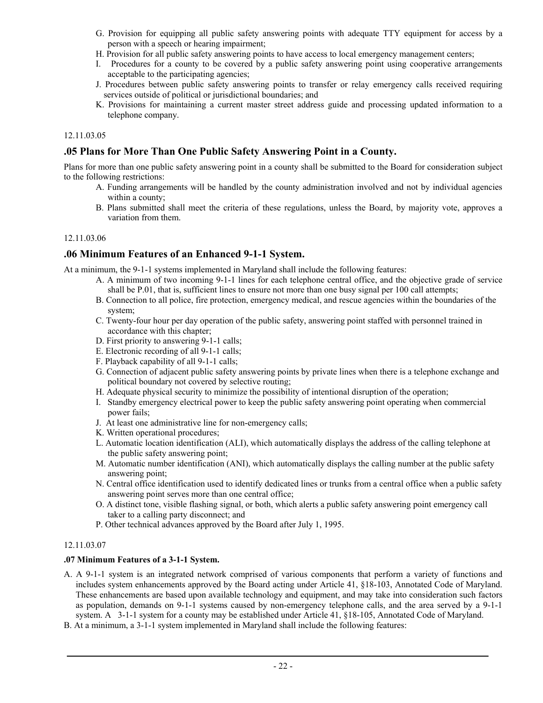- G. Provision for equipping all public safety answering points with adequate TTY equipment for access by a person with a speech or hearing impairment;
- H. Provision for all public safety answering points to have access to local emergency management centers;
- I. Procedures for a county to be covered by a public safety answering point using cooperative arrangements acceptable to the participating agencies;
- J. Procedures between public safety answering points to transfer or relay emergency calls received requiring services outside of political or jurisdictional boundaries; and
- K. Provisions for maintaining a current master street address guide and processing updated information to a telephone company.

## **.05 Plans for More Than One Public Safety Answering Point in a County.**

Plans for more than one public safety answering point in a county shall be submitted to the Board for consideration subject to the following restrictions:

- A. Funding arrangements will be handled by the county administration involved and not by individual agencies within a county;
- B. Plans submitted shall meet the criteria of these regulations, unless the Board, by majority vote, approves a variation from them.

#### 12.11.03.06

## **.06 Minimum Features of an Enhanced 9-1-1 System.**

At a minimum, the 9-1-1 systems implemented in Maryland shall include the following features:

- A. A minimum of two incoming 9-1-1 lines for each telephone central office, and the objective grade of service shall be P.01, that is, sufficient lines to ensure not more than one busy signal per 100 call attempts;
- B. Connection to all police, fire protection, emergency medical, and rescue agencies within the boundaries of the system;
- C. Twenty-four hour per day operation of the public safety, answering point staffed with personnel trained in accordance with this chapter;
- D. First priority to answering 9-1-1 calls;
- E. Electronic recording of all 9-1-1 calls;
- F. Playback capability of all 9-1-1 calls;
- G. Connection of adjacent public safety answering points by private lines when there is a telephone exchange and political boundary not covered by selective routing;
- H. Adequate physical security to minimize the possibility of intentional disruption of the operation;
- I. Standby emergency electrical power to keep the public safety answering point operating when commercial power fails;
- J. At least one administrative line for non-emergency calls;
- K. Written operational procedures;
- L. Automatic location identification (ALI), which automatically displays the address of the calling telephone at the public safety answering point;
- M. Automatic number identification (ANI), which automatically displays the calling number at the public safety answering point;
- N. Central office identification used to identify dedicated lines or trunks from a central office when a public safety answering point serves more than one central office;
- O. A distinct tone, visible flashing signal, or both, which alerts a public safety answering point emergency call taker to a calling party disconnect; and
- P. Other technical advances approved by the Board after July 1, 1995.

#### 12.11.03.07

#### **.07 Minimum Features of a 3-1-1 System.**

- A. A 9-1-1 system is an integrated network comprised of various components that perform a variety of functions and includes system enhancements approved by the Board acting under Article 41, §18-103, Annotated Code of Maryland. These enhancements are based upon available technology and equipment, and may take into consideration such factors as population, demands on 9-1-1 systems caused by non-emergency telephone calls, and the area served by a 9-1-1 system. A 3-1-1 system for a county may be established under Article 41, §18-105, Annotated Code of Maryland.
- B. At a minimum, a 3-1-1 system implemented in Maryland shall include the following features: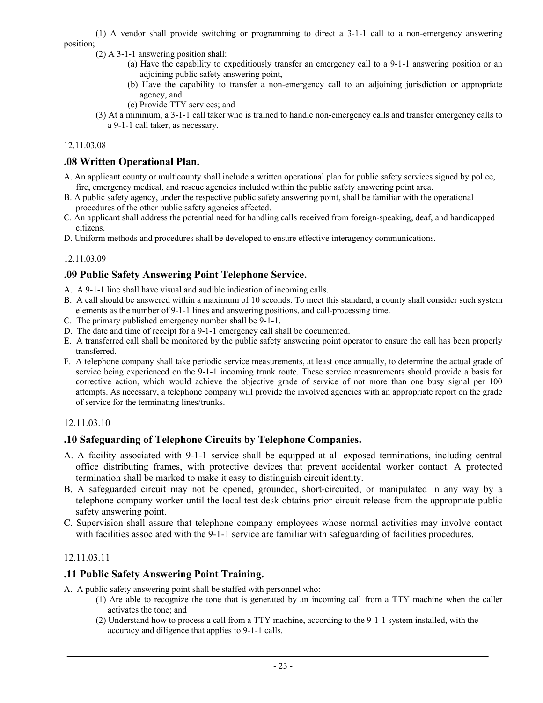(1) A vendor shall provide switching or programming to direct a 3-1-1 call to a non-emergency answering position;

- (2) A 3-1-1 answering position shall:
	- (a) Have the capability to expeditiously transfer an emergency call to a 9-1-1 answering position or an adjoining public safety answering point,
	- (b) Have the capability to transfer a non-emergency call to an adjoining jurisdiction or appropriate agency, and
	- (c) Provide TTY services; and
	- (3) At a minimum, a 3-1-1 call taker who is trained to handle non-emergency calls and transfer emergency calls to a 9-1-1 call taker, as necessary.

#### 12.11.03.08

## **.08 Written Operational Plan.**

- A. An applicant county or multicounty shall include a written operational plan for public safety services signed by police, fire, emergency medical, and rescue agencies included within the public safety answering point area.
- B. A public safety agency, under the respective public safety answering point, shall be familiar with the operational procedures of the other public safety agencies affected.
- C. An applicant shall address the potential need for handling calls received from foreign-speaking, deaf, and handicapped citizens.
- D. Uniform methods and procedures shall be developed to ensure effective interagency communications.

## 12.11.03.09

## **.09 Public Safety Answering Point Telephone Service.**

- A. A 9-1-1 line shall have visual and audible indication of incoming calls.
- B. A call should be answered within a maximum of 10 seconds. To meet this standard, a county shall consider such system elements as the number of 9-1-1 lines and answering positions, and call-processing time.
- C. The primary published emergency number shall be 9-1-1.
- D. The date and time of receipt for a 9-1-1 emergency call shall be documented.
- E. A transferred call shall be monitored by the public safety answering point operator to ensure the call has been properly transferred.
- F. A telephone company shall take periodic service measurements, at least once annually, to determine the actual grade of service being experienced on the 9-1-1 incoming trunk route. These service measurements should provide a basis for corrective action, which would achieve the objective grade of service of not more than one busy signal per 100 attempts. As necessary, a telephone company will provide the involved agencies with an appropriate report on the grade of service for the terminating lines/trunks.

## 12.11.03.10

## **.10 Safeguarding of Telephone Circuits by Telephone Companies.**

- A. A facility associated with 9-1-1 service shall be equipped at all exposed terminations, including central office distributing frames, with protective devices that prevent accidental worker contact. A protected termination shall be marked to make it easy to distinguish circuit identity.
- B. A safeguarded circuit may not be opened, grounded, short-circuited, or manipulated in any way by a telephone company worker until the local test desk obtains prior circuit release from the appropriate public safety answering point.
- C. Supervision shall assure that telephone company employees whose normal activities may involve contact with facilities associated with the 9-1-1 service are familiar with safeguarding of facilities procedures.

## 12.11.03.11

## **.11 Public Safety Answering Point Training.**

A. A public safety answering point shall be staffed with personnel who:

- (1) Are able to recognize the tone that is generated by an incoming call from a TTY machine when the caller activates the tone; and
- (2) Understand how to process a call from a TTY machine, according to the 9-1-1 system installed, with the accuracy and diligence that applies to 9-1-1 calls.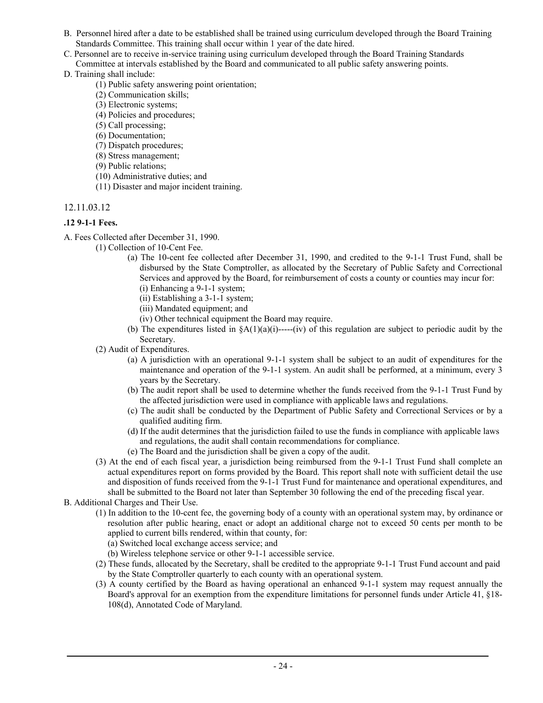- B. Personnel hired after a date to be established shall be trained using curriculum developed through the Board Training Standards Committee. This training shall occur within 1 year of the date hired.
- C. Personnel are to receive in-service training using curriculum developed through the Board Training Standards Committee at intervals established by the Board and communicated to all public safety answering points.
- D. Training shall include:
	- (1) Public safety answering point orientation;
	- (2) Communication skills;
	- (3) Electronic systems;
	- (4) Policies and procedures;
	- (5) Call processing;
	- (6) Documentation;
	- (7) Dispatch procedures;
	- (8) Stress management;
	- (9) Public relations;
	- (10) Administrative duties; and
	- (11) Disaster and major incident training.

## **.12 9-1-1 Fees.**

- A. Fees Collected after December 31, 1990.
	- (1) Collection of 10-Cent Fee.
		- (a) The 10-cent fee collected after December 31, 1990, and credited to the 9-1-1 Trust Fund, shall be disbursed by the State Comptroller, as allocated by the Secretary of Public Safety and Correctional Services and approved by the Board, for reimbursement of costs a county or counties may incur for: (i) Enhancing a 9-1-1 system;
			- (ii) Establishing a 3-1-1 system;
			- (iii) Mandated equipment; and
			- (iv) Other technical equipment the Board may require.
		- (b) The expenditures listed in  $\frac{8A(1)(a)(i)$ -----(iv) of this regulation are subject to periodic audit by the Secretary.
	- (2) Audit of Expenditures.
		- (a) A jurisdiction with an operational 9-1-1 system shall be subject to an audit of expenditures for the maintenance and operation of the 9-1-1 system. An audit shall be performed, at a minimum, every 3 years by the Secretary.
		- (b) The audit report shall be used to determine whether the funds received from the 9-1-1 Trust Fund by the affected jurisdiction were used in compliance with applicable laws and regulations.
		- (c) The audit shall be conducted by the Department of Public Safety and Correctional Services or by a qualified auditing firm.
		- (d) If the audit determines that the jurisdiction failed to use the funds in compliance with applicable laws and regulations, the audit shall contain recommendations for compliance.
		- (e) The Board and the jurisdiction shall be given a copy of the audit.
	- (3) At the end of each fiscal year, a jurisdiction being reimbursed from the 9-1-1 Trust Fund shall complete an actual expenditures report on forms provided by the Board. This report shall note with sufficient detail the use and disposition of funds received from the 9-1-1 Trust Fund for maintenance and operational expenditures, and shall be submitted to the Board not later than September 30 following the end of the preceding fiscal year.

B. Additional Charges and Their Use.

- (1) In addition to the 10-cent fee, the governing body of a county with an operational system may, by ordinance or resolution after public hearing, enact or adopt an additional charge not to exceed 50 cents per month to be applied to current bills rendered, within that county, for:
	- (a) Switched local exchange access service; and
	- (b) Wireless telephone service or other 9-1-1 accessible service.
- (2) These funds, allocated by the Secretary, shall be credited to the appropriate 9-1-1 Trust Fund account and paid by the State Comptroller quarterly to each county with an operational system.
- (3) A county certified by the Board as having operational an enhanced 9-1-1 system may request annually the Board's approval for an exemption from the expenditure limitations for personnel funds under Article 41, §18- 108(d), Annotated Code of Maryland.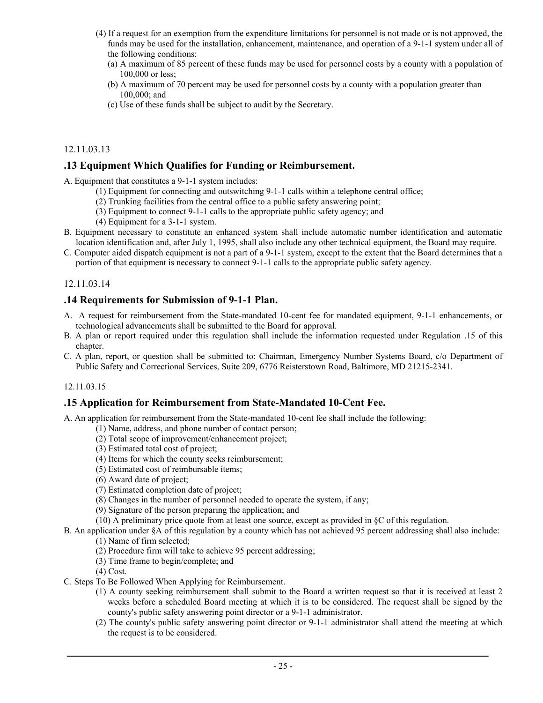- (4) If a request for an exemption from the expenditure limitations for personnel is not made or is not approved, the funds may be used for the installation, enhancement, maintenance, and operation of a 9-1-1 system under all of the following conditions:
	- (a) A maximum of 85 percent of these funds may be used for personnel costs by a county with a population of 100,000 or less;
	- (b) A maximum of 70 percent may be used for personnel costs by a county with a population greater than 100,000; and
	- (c) Use of these funds shall be subject to audit by the Secretary.

## **.13 Equipment Which Qualifies for Funding or Reimbursement.**

A. Equipment that constitutes a 9-1-1 system includes:

- (1) Equipment for connecting and outswitching 9-1-1 calls within a telephone central office;
- (2) Trunking facilities from the central office to a public safety answering point;
- (3) Equipment to connect 9-1-1 calls to the appropriate public safety agency; and
- (4) Equipment for a 3-1-1 system.
- B. Equipment necessary to constitute an enhanced system shall include automatic number identification and automatic location identification and, after July 1, 1995, shall also include any other technical equipment, the Board may require.
- C. Computer aided dispatch equipment is not a part of a 9-1-1 system, except to the extent that the Board determines that a portion of that equipment is necessary to connect 9-1-1 calls to the appropriate public safety agency.

## 12.11.03.14

## **.14 Requirements for Submission of 9-1-1 Plan.**

- A. A request for reimbursement from the State-mandated 10-cent fee for mandated equipment, 9-1-1 enhancements, or technological advancements shall be submitted to the Board for approval.
- B. A plan or report required under this regulation shall include the information requested under Regulation .15 of this chapter.
- C. A plan, report, or question shall be submitted to: Chairman, Emergency Number Systems Board, c/o Department of Public Safety and Correctional Services, Suite 209, 6776 Reisterstown Road, Baltimore, MD 21215-2341.

## 12.11.03.15

## **.15 Application for Reimbursement from State-Mandated 10-Cent Fee.**

A. An application for reimbursement from the State-mandated 10-cent fee shall include the following:

- (1) Name, address, and phone number of contact person;
- (2) Total scope of improvement/enhancement project;
- (3) Estimated total cost of project;
- (4) Items for which the county seeks reimbursement;
- (5) Estimated cost of reimbursable items;
- (6) Award date of project;
- (7) Estimated completion date of project;
- (8) Changes in the number of personnel needed to operate the system, if any;
- (9) Signature of the person preparing the application; and
- (10) A preliminary price quote from at least one source, except as provided in §C of this regulation.
- B. An application under §A of this regulation by a county which has not achieved 95 percent addressing shall also include:
	- (1) Name of firm selected;
	- (2) Procedure firm will take to achieve 95 percent addressing;
	- (3) Time frame to begin/complete; and

(4) Cost.

- C. Steps To Be Followed When Applying for Reimbursement.
	- (1) A county seeking reimbursement shall submit to the Board a written request so that it is received at least 2 weeks before a scheduled Board meeting at which it is to be considered. The request shall be signed by the county's public safety answering point director or a 9-1-1 administrator.
	- (2) The county's public safety answering point director or 9-1-1 administrator shall attend the meeting at which the request is to be considered.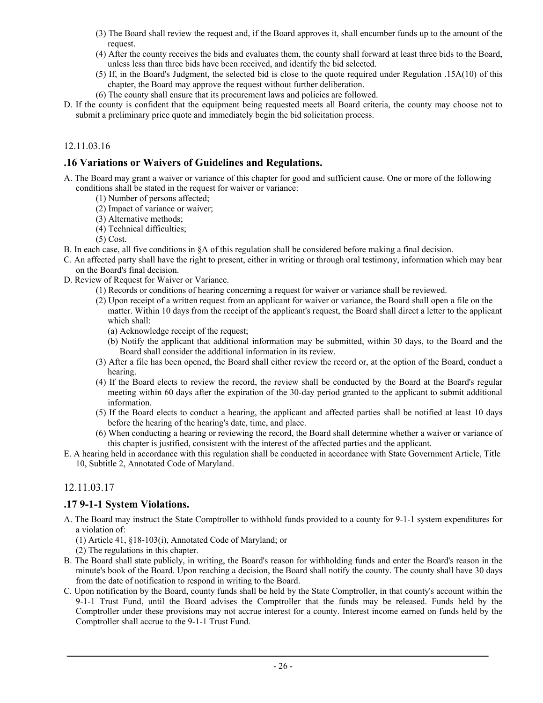- (3) The Board shall review the request and, if the Board approves it, shall encumber funds up to the amount of the request.
- (4) After the county receives the bids and evaluates them, the county shall forward at least three bids to the Board, unless less than three bids have been received, and identify the bid selected.
- (5) If, in the Board's Judgment, the selected bid is close to the quote required under Regulation .15A(10) of this chapter, the Board may approve the request without further deliberation.
- (6) The county shall ensure that its procurement laws and policies are followed.
- D. If the county is confident that the equipment being requested meets all Board criteria, the county may choose not to submit a preliminary price quote and immediately begin the bid solicitation process.

## **.16 Variations or Waivers of Guidelines and Regulations.**

- A. The Board may grant a waiver or variance of this chapter for good and sufficient cause. One or more of the following conditions shall be stated in the request for waiver or variance:
	- (1) Number of persons affected;
	- (2) Impact of variance or waiver;
	- (3) Alternative methods;
	- (4) Technical difficulties;

(5) Cost.

- B. In each case, all five conditions in §A of this regulation shall be considered before making a final decision.
- C. An affected party shall have the right to present, either in writing or through oral testimony, information which may bear on the Board's final decision.
- D. Review of Request for Waiver or Variance.
	- (1) Records or conditions of hearing concerning a request for waiver or variance shall be reviewed.
	- (2) Upon receipt of a written request from an applicant for waiver or variance, the Board shall open a file on the matter. Within 10 days from the receipt of the applicant's request, the Board shall direct a letter to the applicant which shall:
		- (a) Acknowledge receipt of the request;
		- (b) Notify the applicant that additional information may be submitted, within 30 days, to the Board and the Board shall consider the additional information in its review.
	- (3) After a file has been opened, the Board shall either review the record or, at the option of the Board, conduct a hearing.
	- (4) If the Board elects to review the record, the review shall be conducted by the Board at the Board's regular meeting within 60 days after the expiration of the 30-day period granted to the applicant to submit additional information.
	- (5) If the Board elects to conduct a hearing, the applicant and affected parties shall be notified at least 10 days before the hearing of the hearing's date, time, and place.
	- (6) When conducting a hearing or reviewing the record, the Board shall determine whether a waiver or variance of this chapter is justified, consistent with the interest of the affected parties and the applicant.
- E. A hearing held in accordance with this regulation shall be conducted in accordance with State Government Article, Title 10, Subtitle 2, Annotated Code of Maryland.

## 12.11.03.17

## **.17 9-1-1 System Violations.**

- A. The Board may instruct the State Comptroller to withhold funds provided to a county for 9-1-1 system expenditures for a violation of:
	- (1) Article 41, §18-103(i), Annotated Code of Maryland; or
	- (2) The regulations in this chapter.
- B. The Board shall state publicly, in writing, the Board's reason for withholding funds and enter the Board's reason in the minute's book of the Board. Upon reaching a decision, the Board shall notify the county. The county shall have 30 days from the date of notification to respond in writing to the Board.
- C. Upon notification by the Board, county funds shall be held by the State Comptroller, in that county's account within the 9-1-1 Trust Fund, until the Board advises the Comptroller that the funds may be released. Funds held by the Comptroller under these provisions may not accrue interest for a county. Interest income earned on funds held by the Comptroller shall accrue to the 9-1-1 Trust Fund.